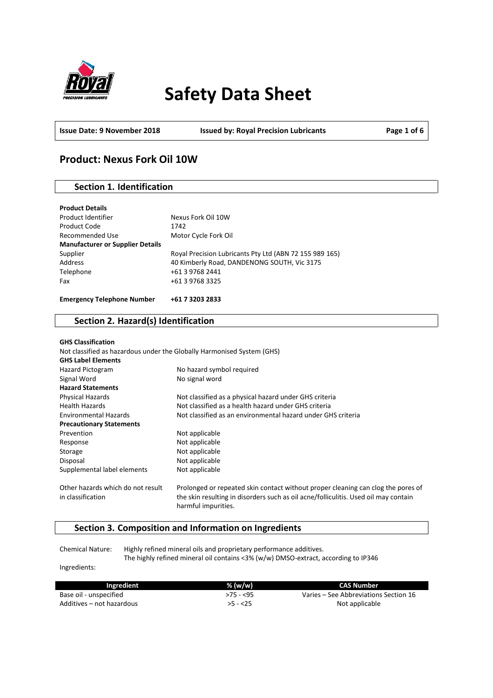

# **Safety Data Sheet**

**Issue Date: 9 November 2018 Issued by: Royal Precision Lubricants Page 1 of 6**

# **Product: Nexus Fork Oil 10W**

# **Section 1. Identification**

| <b>Product Details</b>                  |                                                         |
|-----------------------------------------|---------------------------------------------------------|
| Product Identifier                      | Nexus Fork Oil 10W                                      |
| Product Code                            | 1742                                                    |
| Recommended Use                         | Motor Cycle Fork Oil                                    |
| <b>Manufacturer or Supplier Details</b> |                                                         |
| Supplier                                | Royal Precision Lubricants Pty Ltd (ABN 72 155 989 165) |
| Address                                 | 40 Kimberly Road, DANDENONG SOUTH, Vic 3175             |
| Telephone                               | +61 3 9768 2441                                         |
| Fax                                     | +61 3 9768 3325                                         |
| <b>Emergency Telephone Number</b>       | +61 7 3203 2833                                         |

# **Section 2. Hazard(s) Identification**

| <b>GHS Classification</b><br>Not classified as hazardous under the Globally Harmonised System (GHS)<br><b>GHS Label Elements</b> |                                                                                                                                                                                                |
|----------------------------------------------------------------------------------------------------------------------------------|------------------------------------------------------------------------------------------------------------------------------------------------------------------------------------------------|
| Hazard Pictogram                                                                                                                 | No hazard symbol required                                                                                                                                                                      |
| Signal Word                                                                                                                      | No signal word                                                                                                                                                                                 |
| <b>Hazard Statements</b>                                                                                                         |                                                                                                                                                                                                |
| Physical Hazards                                                                                                                 | Not classified as a physical hazard under GHS criteria                                                                                                                                         |
| <b>Health Hazards</b>                                                                                                            | Not classified as a health hazard under GHS criteria                                                                                                                                           |
| <b>Environmental Hazards</b>                                                                                                     | Not classified as an environmental hazard under GHS criteria                                                                                                                                   |
| <b>Precautionary Statements</b>                                                                                                  |                                                                                                                                                                                                |
| Prevention                                                                                                                       | Not applicable                                                                                                                                                                                 |
| Response                                                                                                                         | Not applicable                                                                                                                                                                                 |
| Storage                                                                                                                          | Not applicable                                                                                                                                                                                 |
| Disposal                                                                                                                         | Not applicable                                                                                                                                                                                 |
| Supplemental label elements                                                                                                      | Not applicable                                                                                                                                                                                 |
| Other hazards which do not result<br>in classification                                                                           | Prolonged or repeated skin contact without proper cleaning can clog the pores of<br>the skin resulting in disorders such as oil acne/folliculitis. Used oil may contain<br>harmful impurities. |

# **Section 3. Composition and Information on Ingredients**

Chemical Nature: Highly refined mineral oils and proprietary performance additives. The highly refined mineral oil contains <3% (w/w) DMSO-extract, according to IP346

Ingredients:

| Ingredient                | $%$ (w/w) | <b>CAS Number</b>                     |
|---------------------------|-----------|---------------------------------------|
| Base oil - unspecified    | >75 - <95 | Varies – See Abbreviations Section 16 |
| Additives – not hazardous | $>5 - 25$ | Not applicable                        |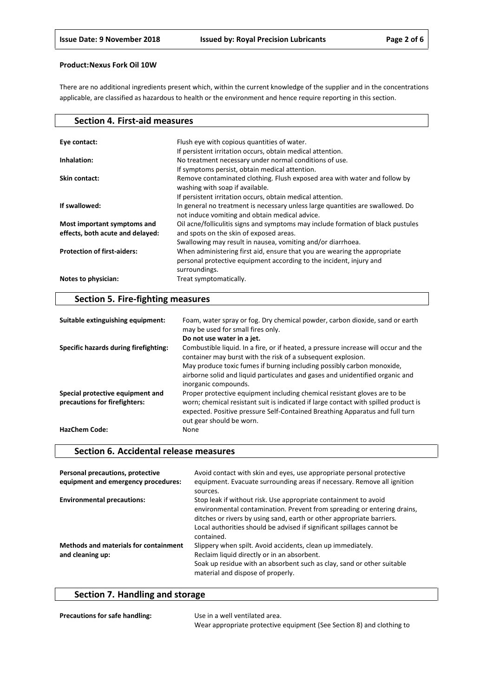There are no additional ingredients present which, within the current knowledge of the supplier and in the concentrations applicable, are classified as hazardous to health or the environment and hence require reporting in this section.

| <b>Section 4. First-aid measures</b> |                                                                                                                                                                   |
|--------------------------------------|-------------------------------------------------------------------------------------------------------------------------------------------------------------------|
| Eye contact:                         | Flush eye with copious quantities of water.                                                                                                                       |
| Inhalation:                          | If persistent irritation occurs, obtain medical attention.<br>No treatment necessary under normal conditions of use.                                              |
| Skin contact:                        | If symptoms persist, obtain medical attention.<br>Remove contaminated clothing. Flush exposed area with water and follow by<br>washing with soap if available.    |
| If swallowed:                        | If persistent irritation occurs, obtain medical attention.<br>In general no treatment is necessary unless large quantities are swallowed. Do                      |
| Most important symptoms and          | not induce vomiting and obtain medical advice.<br>Oil acne/folliculitis signs and symptoms may include formation of black pustules                                |
| effects, both acute and delayed:     | and spots on the skin of exposed areas.<br>Swallowing may result in nausea, vomiting and/or diarrhoea.                                                            |
| <b>Protection of first-aiders:</b>   | When administering first aid, ensure that you are wearing the appropriate<br>personal protective equipment according to the incident, injury and<br>surroundings. |
| Notes to physician:                  | Treat symptomatically.                                                                                                                                            |

# **Section 5. Fire-fighting measures**

| Suitable extinguishing equipment:     | Foam, water spray or fog. Dry chemical powder, carbon dioxide, sand or earth<br>may be used for small fires only.                                                                               |
|---------------------------------------|-------------------------------------------------------------------------------------------------------------------------------------------------------------------------------------------------|
|                                       | Do not use water in a jet.                                                                                                                                                                      |
| Specific hazards during firefighting: | Combustible liquid. In a fire, or if heated, a pressure increase will occur and the<br>container may burst with the risk of a subsequent explosion.                                             |
|                                       | May produce toxic fumes if burning including possibly carbon monoxide,                                                                                                                          |
|                                       | airborne solid and liquid particulates and gases and unidentified organic and<br>inorganic compounds.                                                                                           |
| Special protective equipment and      | Proper protective equipment including chemical resistant gloves are to be                                                                                                                       |
| precautions for firefighters:         | worn; chemical resistant suit is indicated if large contact with spilled product is<br>expected. Positive pressure Self-Contained Breathing Apparatus and full turn<br>out gear should be worn. |
| <b>HazChem Code:</b>                  | None                                                                                                                                                                                            |

## **Section 6. Accidental release measures**

| Personal precautions, protective<br>equipment and emergency procedures: | Avoid contact with skin and eyes, use appropriate personal protective<br>equipment. Evacuate surrounding areas if necessary. Remove all ignition<br>sources.                                                                                                                                                |
|-------------------------------------------------------------------------|-------------------------------------------------------------------------------------------------------------------------------------------------------------------------------------------------------------------------------------------------------------------------------------------------------------|
| <b>Environmental precautions:</b>                                       | Stop leak if without risk. Use appropriate containment to avoid<br>environmental contamination. Prevent from spreading or entering drains,<br>ditches or rivers by using sand, earth or other appropriate barriers.<br>Local authorities should be advised if significant spillages cannot be<br>contained. |
| <b>Methods and materials for containment</b><br>and cleaning up:        | Slippery when spilt. Avoid accidents, clean up immediately.<br>Reclaim liquid directly or in an absorbent.<br>Soak up residue with an absorbent such as clay, sand or other suitable<br>material and dispose of properly.                                                                                   |

# **Section 7. Handling and storage**

| <b>Precautions for safe handling:</b> | Use in a well ventilated area.                                        |
|---------------------------------------|-----------------------------------------------------------------------|
|                                       | Wear appropriate protective equipment (See Section 8) and clothing to |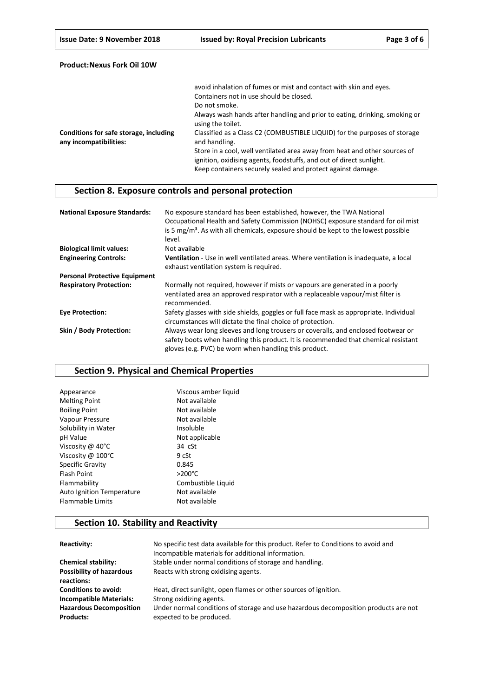|                                                                  | avoid inhalation of fumes or mist and contact with skin and eyes.                               |
|------------------------------------------------------------------|-------------------------------------------------------------------------------------------------|
|                                                                  | Containers not in use should be closed.                                                         |
|                                                                  | Do not smoke.                                                                                   |
|                                                                  | Always wash hands after handling and prior to eating, drinking, smoking or<br>using the toilet. |
| Conditions for safe storage, including<br>any incompatibilities: | Classified as a Class C2 (COMBUSTIBLE LIQUID) for the purposes of storage<br>and handling.      |
|                                                                  | Store in a cool, well ventilated area away from heat and other sources of                       |
|                                                                  | ignition, oxidising agents, foodstuffs, and out of direct sunlight.                             |
|                                                                  | Keep containers securely sealed and protect against damage.                                     |

# **Section 8. Exposure controls and personal protection**

| <b>National Exposure Standards:</b>  | No exposure standard has been established, however, the TWA National<br>Occupational Health and Safety Commission (NOHSC) exposure standard for oil mist<br>is 5 mg/m <sup>3</sup> . As with all chemicals, exposure should be kept to the lowest possible<br>level. |
|--------------------------------------|----------------------------------------------------------------------------------------------------------------------------------------------------------------------------------------------------------------------------------------------------------------------|
| <b>Biological limit values:</b>      | Not available                                                                                                                                                                                                                                                        |
| <b>Engineering Controls:</b>         | Ventilation - Use in well ventilated areas. Where ventilation is inadequate, a local<br>exhaust ventilation system is required.                                                                                                                                      |
| <b>Personal Protective Equipment</b> |                                                                                                                                                                                                                                                                      |
| <b>Respiratory Protection:</b>       | Normally not required, however if mists or vapours are generated in a poorly<br>ventilated area an approved respirator with a replaceable vapour/mist filter is<br>recommended.                                                                                      |
| <b>Eve Protection:</b>               | Safety glasses with side shields, goggles or full face mask as appropriate. Individual<br>circumstances will dictate the final choice of protection.                                                                                                                 |
| Skin / Body Protection:              | Always wear long sleeves and long trousers or coveralls, and enclosed footwear or<br>safety boots when handling this product. It is recommended that chemical resistant<br>gloves (e.g. PVC) be worn when handling this product.                                     |

## **Section 9. Physical and Chemical Properties**

| Appearance                  | Viscous amber liquid |
|-----------------------------|----------------------|
| <b>Melting Point</b>        | Not available        |
| <b>Boiling Point</b>        | Not available        |
| Vapour Pressure             | Not available        |
| Solubility in Water         | Insoluble            |
| pH Value                    | Not applicable       |
| Viscosity @ 40°C            | $34$ $cSt$           |
| Viscosity @ $100^{\circ}$ C | 9 cSt                |
| <b>Specific Gravity</b>     | 0.845                |
| <b>Flash Point</b>          | $>200^{\circ}$ C     |
| Flammability                | Combustible Liquid   |
| Auto Ignition Temperature   | Not available        |
| <b>Flammable Limits</b>     | Not available        |

# **Section 10. Stability and Reactivity**

| Reactivity:                                        | No specific test data available for this product. Refer to Conditions to avoid and<br>Incompatible materials for additional information. |
|----------------------------------------------------|------------------------------------------------------------------------------------------------------------------------------------------|
| <b>Chemical stability:</b>                         | Stable under normal conditions of storage and handling.                                                                                  |
| <b>Possibility of hazardous</b><br>reactions:      | Reacts with strong oxidising agents.                                                                                                     |
| <b>Conditions to avoid:</b>                        | Heat, direct sunlight, open flames or other sources of ignition.                                                                         |
| <b>Incompatible Materials:</b>                     | Strong oxidizing agents.                                                                                                                 |
| <b>Hazardous Decomposition</b><br><b>Products:</b> | Under normal conditions of storage and use hazardous decomposition products are not<br>expected to be produced.                          |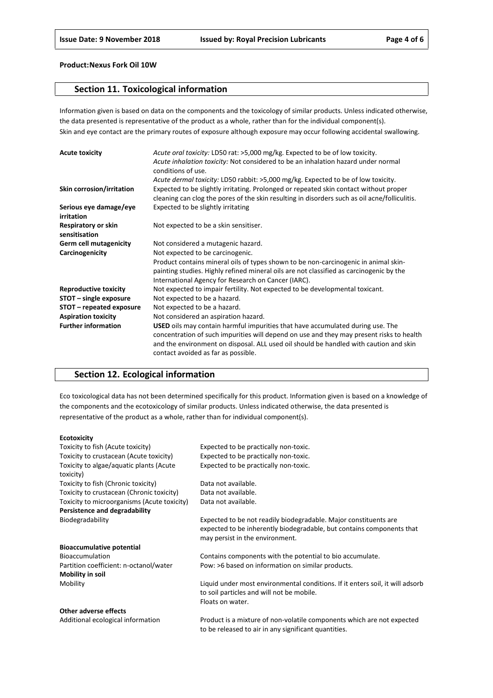## **Section 11. Toxicological information**

Information given is based on data on the components and the toxicology of similar products. Unless indicated otherwise, the data presented is representative of the product as a whole, rather than for the individual component(s). Skin and eye contact are the primary routes of exposure although exposure may occur following accidental swallowing.

| <b>Acute toxicity</b>                | Acute oral toxicity: LD50 rat: >5,000 mg/kg. Expected to be of low toxicity.                  |
|--------------------------------------|-----------------------------------------------------------------------------------------------|
|                                      | Acute inhalation toxicity: Not considered to be an inhalation hazard under normal             |
|                                      | conditions of use.                                                                            |
|                                      | Acute dermal toxicity: LD50 rabbit: >5,000 mg/kg. Expected to be of low toxicity.             |
| Skin corrosion/irritation            | Expected to be slightly irritating. Prolonged or repeated skin contact without proper         |
|                                      | cleaning can clog the pores of the skin resulting in disorders such as oil acne/folliculitis. |
| Serious eye damage/eye<br>irritation | Expected to be slightly irritating                                                            |
| Respiratory or skin<br>sensitisation | Not expected to be a skin sensitiser.                                                         |
| <b>Germ cell mutagenicity</b>        | Not considered a mutagenic hazard.                                                            |
| Carcinogenicity                      | Not expected to be carcinogenic.                                                              |
|                                      | Product contains mineral oils of types shown to be non-carcinogenic in animal skin-           |
|                                      | painting studies. Highly refined mineral oils are not classified as carcinogenic by the       |
|                                      | International Agency for Research on Cancer (IARC).                                           |
| <b>Reproductive toxicity</b>         | Not expected to impair fertility. Not expected to be developmental toxicant.                  |
| STOT - single exposure               | Not expected to be a hazard.                                                                  |
| STOT – repeated exposure             | Not expected to be a hazard.                                                                  |
| <b>Aspiration toxicity</b>           | Not considered an aspiration hazard.                                                          |
| <b>Further information</b>           | <b>USED</b> oils may contain harmful impurities that have accumulated during use. The         |
|                                      | concentration of such impurities will depend on use and they may present risks to health      |
|                                      | and the environment on disposal. ALL used oil should be handled with caution and skin         |
|                                      | contact avoided as far as possible.                                                           |

## **Section 12. Ecological information**

Eco toxicological data has not been determined specifically for this product. Information given is based on a knowledge of the components and the ecotoxicology of similar products. Unless indicated otherwise, the data presented is representative of the product as a whole, rather than for individual component(s).

#### **Ecotoxicity**

| Toxicity to fish (Acute toxicity)           | Expected to be practically non-toxic.                                         |
|---------------------------------------------|-------------------------------------------------------------------------------|
| Toxicity to crustacean (Acute toxicity)     | Expected to be practically non-toxic.                                         |
| Toxicity to algae/aquatic plants (Acute     | Expected to be practically non-toxic.                                         |
| toxicity)                                   |                                                                               |
| Toxicity to fish (Chronic toxicity)         | Data not available.                                                           |
| Toxicity to crustacean (Chronic toxicity)   | Data not available.                                                           |
| Toxicity to microorganisms (Acute toxicity) | Data not available.                                                           |
| Persistence and degradability               |                                                                               |
| Biodegradability                            | Expected to be not readily biodegradable. Major constituents are              |
|                                             | expected to be inherently biodegradable, but contains components that         |
|                                             | may persist in the environment.                                               |
| <b>Bioaccumulative potential</b>            |                                                                               |
| <b>Bioaccumulation</b>                      | Contains components with the potential to bio accumulate.                     |
| Partition coefficient: n-octanol/water      | Pow: >6 based on information on similar products.                             |
| Mobility in soil                            |                                                                               |
| Mobility                                    | Liquid under most environmental conditions. If it enters soil, it will adsorb |
|                                             | to soil particles and will not be mobile.                                     |
|                                             | Floats on water.                                                              |
| Other adverse effects                       |                                                                               |
| Additional ecological information           | Product is a mixture of non-volatile components which are not expected        |

to be released to air in any significant quantities.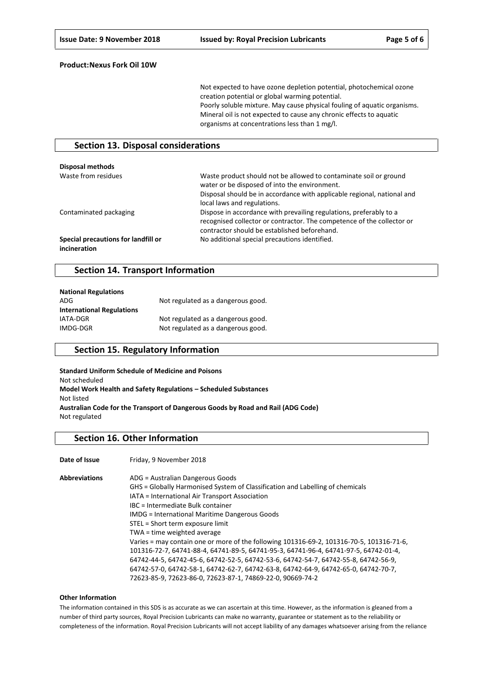Not expected to have ozone depletion potential, photochemical ozone creation potential or global warming potential. Poorly soluble mixture. May cause physical fouling of aquatic organisms. Mineral oil is not expected to cause any chronic effects to aquatic organisms at concentrations less than 1 mg/l.

## **Section 13. Disposal considerations**

| Disposal methods                                    |                                                                                                                                                                                                                              |
|-----------------------------------------------------|------------------------------------------------------------------------------------------------------------------------------------------------------------------------------------------------------------------------------|
| Waste from residues                                 | Waste product should not be allowed to contaminate soil or ground<br>water or be disposed of into the environment.<br>Disposal should be in accordance with applicable regional, national and<br>local laws and regulations. |
| Contaminated packaging                              | Dispose in accordance with prevailing regulations, preferably to a<br>recognised collector or contractor. The competence of the collector or<br>contractor should be established beforehand.                                 |
| Special precautions for landfill or<br>incineration | No additional special precautions identified.                                                                                                                                                                                |

## **Section 14. Transport Information**

| <b>National Regulations</b>      |                                    |
|----------------------------------|------------------------------------|
| ADG.                             | Not regulated as a dangerous good. |
| <b>International Regulations</b> |                                    |
| IATA-DGR                         | Not regulated as a dangerous good. |
| IMDG-DGR                         | Not regulated as a dangerous good. |

## **Section 15. Regulatory Information**

**Standard Uniform Schedule of Medicine and Poisons** Not scheduled **Model Work Health and Safety Regulations – Scheduled Substances** Not listed **Australian Code for the Transport of Dangerous Goods by Road and Rail (ADG Code)** Not regulated

#### **Section 16. Other Information**

Date of Issue Friday, 9 November 2018

**Abbreviations** ADG = Australian Dangerous Goods GHS = Globally Harmonised System of Classification and Labelling of chemicals IATA = International Air Transport Association IBC = Intermediate Bulk container IMDG = International Maritime Dangerous Goods STEL = Short term exposure limit TWA = time weighted average Varies = may contain one or more of the following 101316-69-2, 101316-70-5, 101316-71-6, 101316-72-7, 64741-88-4, 64741-89-5, 64741-95-3, 64741-96-4, 64741-97-5, 64742-01-4, 64742-44-5, 64742-45-6, 64742-52-5, 64742-53-6, 64742-54-7, 64742-55-8, 64742-56-9, 64742-57-0, 64742-58-1, 64742-62-7, 64742-63-8, 64742-64-9, 64742-65-0, 64742-70-7, 72623-85-9, 72623-86-0, 72623-87-1, 74869-22-0, 90669-74-2

#### **Other Information**

The information contained in this SDS is as accurate as we can ascertain at this time. However, as the information is gleaned from a number of third party sources, Royal Precision Lubricants can make no warranty, guarantee or statement as to the reliability or completeness of the information. Royal Precision Lubricants will not accept liability of any damages whatsoever arising from the reliance